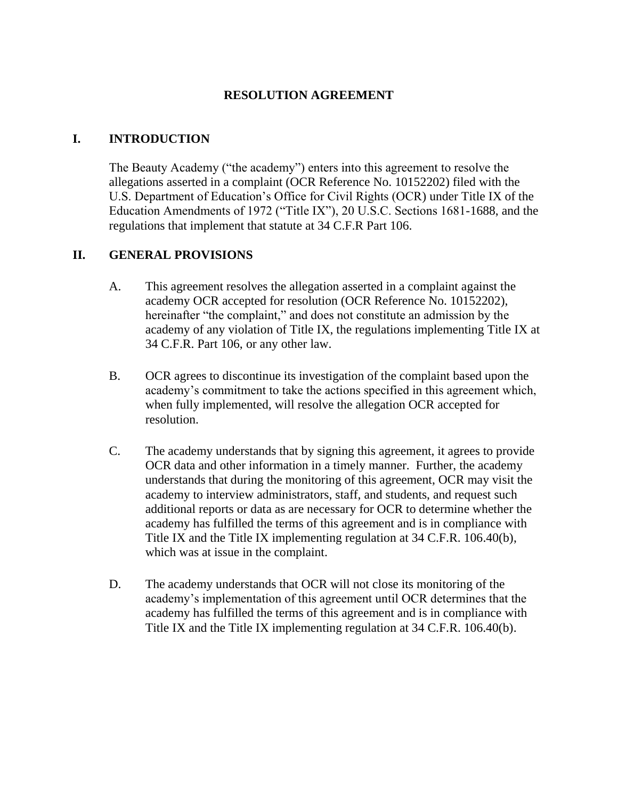#### **RESOLUTION AGREEMENT**

## **I. INTRODUCTION**

The Beauty Academy ("the academy") enters into this agreement to resolve the allegations asserted in a complaint (OCR Reference No. 10152202) filed with the U.S. Department of Education's Office for Civil Rights (OCR) under Title IX of the Education Amendments of 1972 ("Title IX"), 20 U.S.C. Sections 1681-1688, and the regulations that implement that statute at 34 C.F.R Part 106.

## **II. GENERAL PROVISIONS**

- A. This agreement resolves the allegation asserted in a complaint against the academy OCR accepted for resolution (OCR Reference No. 10152202), hereinafter "the complaint," and does not constitute an admission by the academy of any violation of Title IX, the regulations implementing Title IX at 34 C.F.R. Part 106, or any other law.
- B. OCR agrees to discontinue its investigation of the complaint based upon the academy's commitment to take the actions specified in this agreement which, when fully implemented, will resolve the allegation OCR accepted for resolution.
- C. The academy understands that by signing this agreement, it agrees to provide OCR data and other information in a timely manner. Further, the academy understands that during the monitoring of this agreement, OCR may visit the academy to interview administrators, staff, and students, and request such additional reports or data as are necessary for OCR to determine whether the academy has fulfilled the terms of this agreement and is in compliance with Title IX and the Title IX implementing regulation at 34 C.F.R. 106.40(b), which was at issue in the complaint.
- D. The academy understands that OCR will not close its monitoring of the academy's implementation of this agreement until OCR determines that the academy has fulfilled the terms of this agreement and is in compliance with Title IX and the Title IX implementing regulation at 34 C.F.R. 106.40(b).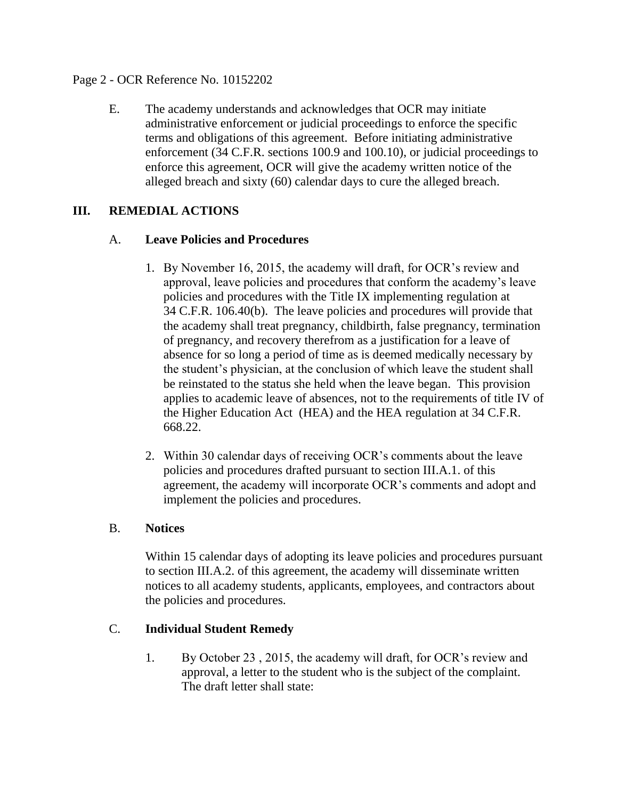#### Page 2 - OCR Reference No. 10152202

E. The academy understands and acknowledges that OCR may initiate administrative enforcement or judicial proceedings to enforce the specific terms and obligations of this agreement. Before initiating administrative enforcement (34 C.F.R. sections 100.9 and 100.10), or judicial proceedings to enforce this agreement, OCR will give the academy written notice of the alleged breach and sixty (60) calendar days to cure the alleged breach.

## **III. REMEDIAL ACTIONS**

#### A. **Leave Policies and Procedures**

- 1. By November 16, 2015, the academy will draft, for OCR's review and approval, leave policies and procedures that conform the academy's leave policies and procedures with the Title IX implementing regulation at 34 C.F.R. 106.40(b). The leave policies and procedures will provide that the academy shall treat pregnancy, childbirth, false pregnancy, termination of pregnancy, and recovery therefrom as a justification for a leave of absence for so long a period of time as is deemed medically necessary by the student's physician, at the conclusion of which leave the student shall be reinstated to the status she held when the leave began. This provision applies to academic leave of absences, not to the requirements of title IV of the Higher Education Act (HEA) and the HEA regulation at 34 C.F.R. 668.22.
- 2. Within 30 calendar days of receiving OCR's comments about the leave policies and procedures drafted pursuant to section III.A.1. of this agreement, the academy will incorporate OCR's comments and adopt and implement the policies and procedures.

#### B. **Notices**

Within 15 calendar days of adopting its leave policies and procedures pursuant to section III.A.2. of this agreement, the academy will disseminate written notices to all academy students, applicants, employees, and contractors about the policies and procedures.

#### C. **Individual Student Remedy**

1. By October 23 , 2015, the academy will draft, for OCR's review and approval, a letter to the student who is the subject of the complaint. The draft letter shall state: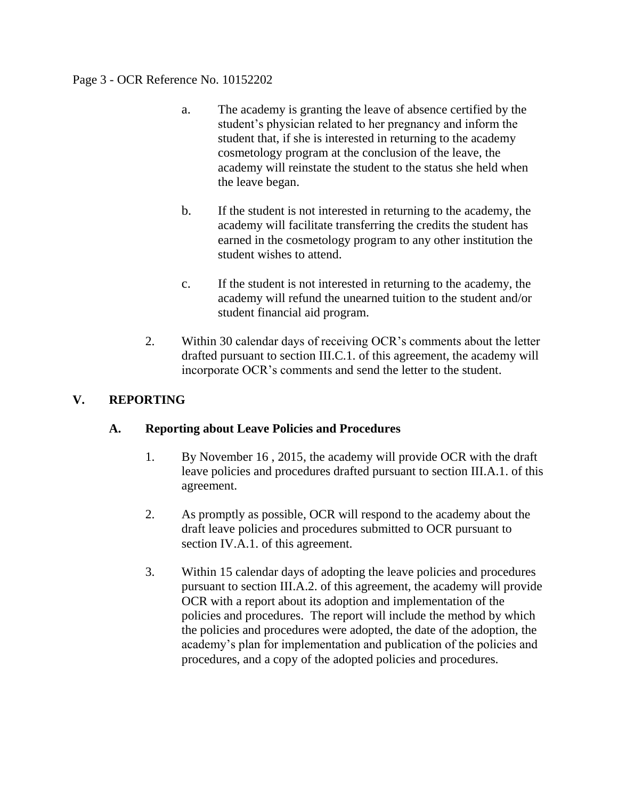#### Page 3 - OCR Reference No. 10152202

- a. The academy is granting the leave of absence certified by the student's physician related to her pregnancy and inform the student that, if she is interested in returning to the academy cosmetology program at the conclusion of the leave, the academy will reinstate the student to the status she held when the leave began.
- b. If the student is not interested in returning to the academy, the academy will facilitate transferring the credits the student has earned in the cosmetology program to any other institution the student wishes to attend.
- c. If the student is not interested in returning to the academy, the academy will refund the unearned tuition to the student and/or student financial aid program.
- 2. Within 30 calendar days of receiving OCR's comments about the letter drafted pursuant to section III.C.1. of this agreement, the academy will incorporate OCR's comments and send the letter to the student.

# **V. REPORTING**

## **A. Reporting about Leave Policies and Procedures**

- 1. By November 16 , 2015, the academy will provide OCR with the draft leave policies and procedures drafted pursuant to section III.A.1. of this agreement.
- 2. As promptly as possible, OCR will respond to the academy about the draft leave policies and procedures submitted to OCR pursuant to section IV.A.1. of this agreement.
- 3. Within 15 calendar days of adopting the leave policies and procedures pursuant to section III.A.2. of this agreement, the academy will provide OCR with a report about its adoption and implementation of the policies and procedures. The report will include the method by which the policies and procedures were adopted, the date of the adoption, the academy's plan for implementation and publication of the policies and procedures, and a copy of the adopted policies and procedures.